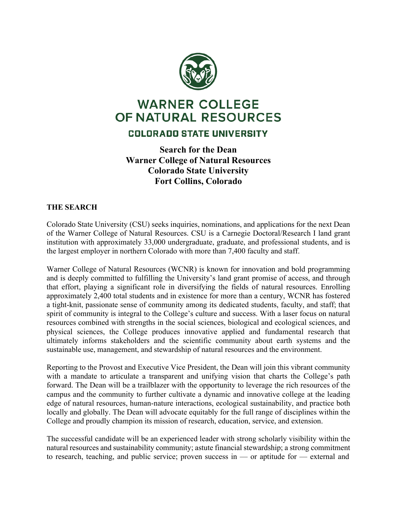

# **WARNER COLLEGE** OF NATURAL RESOURCES

# COLORADO STATE UNIVERSITY

# **Search for the Dean Warner College of Natural Resources Colorado State University Fort Collins, Colorado**

## **THE SEARCH**

Colorado State University (CSU) seeks inquiries, nominations, and applications for the next Dean of the Warner College of Natural Resources. CSU is a Carnegie Doctoral/Research I land grant institution with approximately 33,000 undergraduate, graduate, and professional students, and is the largest employer in northern Colorado with more than 7,400 faculty and staff.

Warner College of Natural Resources (WCNR) is known for innovation and bold programming and is deeply committed to fulfilling the University's land grant promise of access, and through that effort, playing a significant role in diversifying the fields of natural resources. Enrolling approximately 2,400 total students and in existence for more than a century, WCNR has fostered a tight-knit, passionate sense of community among its dedicated students, faculty, and staff; that spirit of community is integral to the College's culture and success. With a laser focus on natural resources combined with strengths in the social sciences, biological and ecological sciences, and physical sciences, the College produces innovative applied and fundamental research that ultimately informs stakeholders and the scientific community about earth systems and the sustainable use, management, and stewardship of natural resources and the environment.

Reporting to the Provost and Executive Vice President, the Dean will join this vibrant community with a mandate to articulate a transparent and unifying vision that charts the College's path forward. The Dean will be a trailblazer with the opportunity to leverage the rich resources of the campus and the community to further cultivate a dynamic and innovative college at the leading edge of natural resources, human-nature interactions, ecological sustainability, and practice both locally and globally. The Dean will advocate equitably for the full range of disciplines within the College and proudly champion its mission of research, education, service, and extension.

The successful candidate will be an experienced leader with strong scholarly visibility within the natural resources and sustainability community; astute financial stewardship; a strong commitment to research, teaching, and public service; proven success in — or aptitude for — external and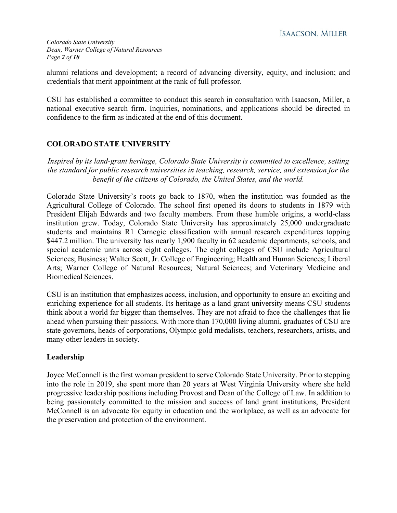alumni relations and development; a record of advancing diversity, equity, and inclusion; and credentials that merit appointment at the rank of full professor.

CSU has established a committee to conduct this search in consultation with Isaacson, Miller, a national executive search firm. Inquiries, nominations, and applications should be directed in confidence to the firm as indicated at the end of this document.

# **COLORADO STATE UNIVERSITY**

*Inspired by its land-grant heritage, Colorado State University is committed to excellence, setting the standard for public research universities in teaching, research, service, and extension for the benefit of the citizens of Colorado, the United States, and the world.*

Colorado State University's roots go back to 1870, when the institution was founded as the Agricultural College of Colorado. The school first opened its doors to students in 1879 with President Elijah Edwards and two faculty members. From these humble origins, a world-class institution grew. Today, Colorado State University has approximately 25,000 undergraduate students and maintains R1 Carnegie classification with annual research expenditures topping \$447.2 million. The university has nearly 1,900 faculty in 62 academic departments, schools, and special academic units across eight colleges. The eight colleges of CSU include Agricultural Sciences; Business; Walter Scott, Jr. College of Engineering; Health and Human Sciences; Liberal Arts; Warner College of Natural Resources; Natural Sciences; and Veterinary Medicine and Biomedical Sciences.

CSU is an institution that emphasizes access, inclusion, and opportunity to ensure an exciting and enriching experience for all students. Its heritage as a land grant university means CSU students think about a world far bigger than themselves. They are not afraid to face the challenges that lie ahead when pursuing their passions. With more than 170,000 living alumni, graduates of CSU are state governors, heads of corporations, Olympic gold medalists, teachers, researchers, artists, and many other leaders in society.

## **Leadership**

Joyce McConnell is the first woman president to serve Colorado State University. Prior to stepping into the role in 2019, she spent more than 20 years at West Virginia University where she held progressive leadership positions including Provost and Dean of the College of Law. In addition to being passionately committed to the mission and success of land grant institutions, President McConnell is an advocate for equity in education and the workplace, as well as an advocate for the preservation and protection of the environment.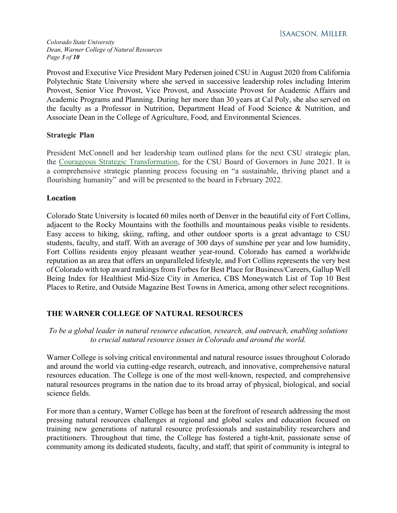*Colorado State University Dean, Warner College of Natural Resources Page 3 of 10*

Provost and Executive Vice President Mary Pedersen joined CSU in August 2020 from California Polytechnic State University where she served in successive leadership roles including Interim Provost, Senior Vice Provost, Vice Provost, and Associate Provost for Academic Affairs and Academic Programs and Planning. During her more than 30 years at Cal Poly, she also served on the faculty as a Professor in Nutrition, Department Head of Food Science & Nutrition, and Associate Dean in the College of Agriculture, Food, and Environmental Sciences.

#### **Strategic Plan**

President McConnell and her leadership team outlined plans for the next CSU strategic plan, the Courageous Strategic [Transformation,](https://courageous.colostate.edu/) for the CSU Board of Governors in June 2021. It is a comprehensive strategic planning process focusing on "a sustainable, thriving planet and a flourishing humanity" and will be presented to the board in February 2022.

#### **Location**

Colorado State University is located 60 miles north of Denver in the beautiful city of Fort Collins, adjacent to the Rocky Mountains with the foothills and mountainous peaks visible to residents. Easy access to hiking, skiing, rafting, and other outdoor sports is a great advantage to CSU students, faculty, and staff. With an average of 300 days of sunshine per year and low humidity, Fort Collins residents enjoy pleasant weather year-round. Colorado has earned a worldwide reputation as an area that offers an unparalleled lifestyle, and Fort Collins represents the very best of Colorado with top award rankings from Forbes for Best Place for Business/Careers, Gallup Well Being Index for Healthiest Mid-Size City in America, CBS Moneywatch List of Top 10 Best Places to Retire, and Outside Magazine Best Towns in America, among other select recognitions.

## **THE WARNER COLLEGE OF NATURAL RESOURCES**

*To be a global leader in natural resource education, research, and outreach, enabling solutions to crucial natural resource issues in Colorado and around the world.*

Warner College is solving critical environmental and natural resource issues throughout Colorado and around the world via cutting-edge research, outreach, and innovative, comprehensive natural resources education. The College is one of the most well-known, respected, and comprehensive natural resources programs in the nation due to its broad array of physical, biological, and social science fields.

For more than a century, Warner College has been at the forefront of research addressing the most pressing natural resources challenges at regional and global scales and education focused on training new generations of natural resource professionals and sustainability researchers and practitioners. Throughout that time, the College has fostered a tight-knit, passionate sense of community among its dedicated students, faculty, and staff; that spirit of community is integral to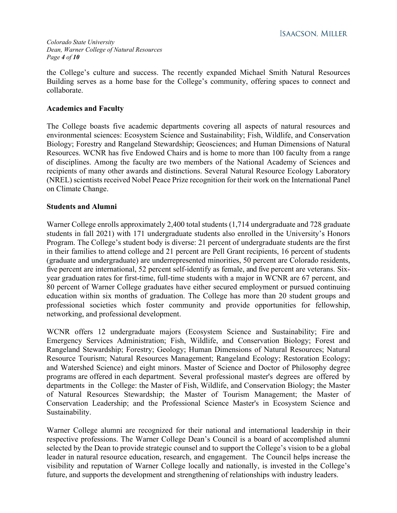#### *Colorado State University Dean, Warner College of Natural Resources Page 4 of 10*

the College's culture and success. The recently expanded Michael Smith Natural Resources Building serves as a home base for the College's community, offering spaces to connect and collaborate.

#### **Academics and Faculty**

The College boasts five academic departments covering all aspects of natural resources and environmental sciences: Ecosystem Science and Sustainability; Fish, Wildlife, and Conservation Biology; Forestry and Rangeland Stewardship; Geosciences; and Human Dimensions of Natural Resources. WCNR has five Endowed Chairs and is home to more than 100 faculty from a range of disciplines. Among the faculty are two members of the National Academy of Sciences and recipients of many other awards and distinctions. Several Natural Resource Ecology Laboratory (NREL) scientists received Nobel Peace Prize recognition for their work on the International Panel on Climate Change.

#### **Students and Alumni**

Warner College enrolls approximately 2,400 total students (1,714 undergraduate and 728 graduate students in fall 2021) with 171 undergraduate students also enrolled in the University's Honors Program. The College's student body is diverse: 21 percent of undergraduate students are the first in their families to attend college and 21 percent are Pell Grant recipients, 16 percent of students (graduate and undergraduate) are underrepresented minorities, 50 percent are Colorado residents, five percent are international, 52 percent self-identify as female, and five percent are veterans. Sixyear graduation rates for first-time, full-time students with a major in WCNR are 67 percent, and 80 percent of Warner College graduates have either secured employment or pursued continuing education within six months of graduation. The College has more than 20 student groups and professional societies which foster community and provide opportunities for fellowship, networking, and professional development.

WCNR offers 12 undergraduate majors (Ecosystem Science and Sustainability; Fire and Emergency Services Administration; Fish, Wildlife, and Conservation Biology; Forest and Rangeland Stewardship; Forestry; Geology; Human Dimensions of Natural Resources; Natural Resource Tourism; Natural Resources Management; Rangeland Ecology; Restoration Ecology; and Watershed Science) and eight minors. Master of Science and Doctor of Philosophy degree programs are offered in each department. Several professional master's degrees are offered by departments in the College: the Master of Fish, Wildlife, and Conservation Biology; the Master of Natural Resources Stewardship; the Master of Tourism Management; the Master of Conservation Leadership; and the Professional Science Master's in Ecosystem Science and Sustainability.

Warner College alumni are recognized for their national and international leadership in their respective professions. The Warner College Dean's Council is a board of accomplished alumni selected by the Dean to provide strategic counsel and to support the College's vision to be a global leader in natural resource education, research, and engagement. The Council helps increase the visibility and reputation of Warner College locally and nationally, is invested in the College's future, and supports the development and strengthening of relationships with industry leaders.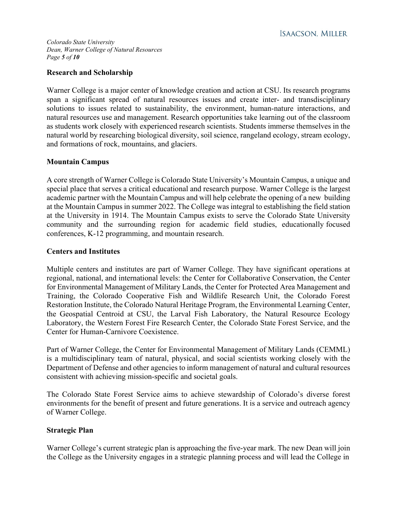**ISAACSON. MILLER** 

*Colorado State University Dean, Warner College of Natural Resources Page 5 of 10*

#### **Research and Scholarship**

Warner College is a major center of knowledge creation and action at CSU. Its research programs span a significant spread of natural resources issues and create inter- and transdisciplinary solutions to issues related to sustainability, the environment, human-nature interactions, and natural resources use and management. Research opportunities take learning out of the classroom as students work closely with experienced research scientists. Students immerse themselves in the natural world by researching biological diversity, soil science, rangeland ecology, stream ecology, and formations of rock, mountains, and glaciers.

#### **Mountain Campus**

A core strength of Warner College is Colorado State University's Mountain Campus, a unique and special place that serves a critical educational and research purpose. Warner College is the largest academic partner with the Mountain Campus and will help celebrate the opening of a new building at the Mountain Campus in summer 2022. The College was integral to establishing the field station at the University in 1914. The Mountain Campus exists to serve the Colorado State University community and the surrounding region for academic field studies, educationally focused conferences, K-12 programming, and mountain research.

#### **Centers and Institutes**

Multiple centers and institutes are part of Warner College. They have significant operations at regional, national, and international levels: the Center for Collaborative Conservation, the Center for Environmental Management of Military Lands, the Center for Protected Area Management and Training, the Colorado Cooperative Fish and Wildlife Research Unit, the Colorado Forest Restoration Institute, the Colorado Natural Heritage Program, the Environmental Learning Center, the Geospatial Centroid at CSU, the Larval Fish Laboratory, the Natural Resource Ecology Laboratory, the Western Forest Fire Research Center, the Colorado State Forest Service, and the Center for Human-Carnivore Coexistence.

Part of Warner College, the Center for Environmental Management of Military Lands (CEMML) is a multidisciplinary team of natural, physical, and social scientists working closely with the Department of Defense and other agencies to inform management of natural and cultural resources consistent with achieving mission-specific and societal goals.

The Colorado State Forest Service aims to achieve stewardship of Colorado's diverse forest environments for the benefit of present and future generations. It is a service and outreach agency of Warner College.

#### **Strategic Plan**

Warner College's current strategic plan is approaching the five-year mark. The new Dean will join the College as the University engages in a strategic planning process and will lead the College in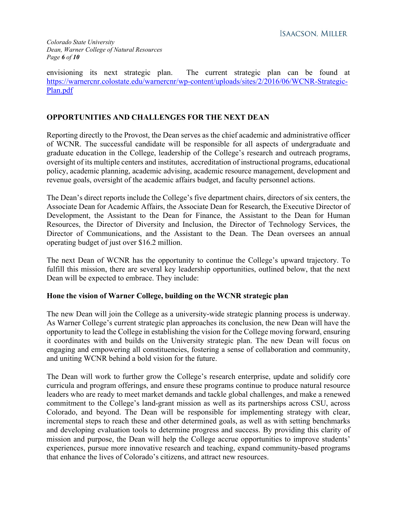envisioning its next strategic plan. The current strategic plan can be found at [https://warnercnr.colostate.edu/warnercnr/wp-content/uploads/sites/2/2016/06/WCNR-Strategic-](https://warnercnr.colostate.edu/warnercnr/wp-content/uploads/sites/2/2016/06/WCNR-Strategic-Plan.pdf)[Plan.pdf](https://warnercnr.colostate.edu/warnercnr/wp-content/uploads/sites/2/2016/06/WCNR-Strategic-Plan.pdf)

## **OPPORTUNITIES AND CHALLENGES FOR THE NEXT DEAN**

Reporting directly to the Provost, the Dean serves as the chief academic and administrative officer of WCNR. The successful candidate will be responsible for all aspects of undergraduate and graduate education in the College, leadership of the College's research and outreach programs, oversight of its multiple centers and institutes, accreditation of instructional programs, educational policy, academic planning, academic advising, academic resource management, development and revenue goals, oversight of the academic affairs budget, and faculty personnel actions.

The Dean's direct reports include the College's five department chairs, directors of six centers, the Associate Dean for Academic Affairs, the Associate Dean for Research, the Executive Director of Development, the Assistant to the Dean for Finance, the Assistant to the Dean for Human Resources, the Director of Diversity and Inclusion, the Director of Technology Services, the Director of Communications, and the Assistant to the Dean. The Dean oversees an annual operating budget of just over \$16.2 million.

The next Dean of WCNR has the opportunity to continue the College's upward trajectory. To fulfill this mission, there are several key leadership opportunities, outlined below, that the next Dean will be expected to embrace. They include:

#### **Hone the vision of Warner College, building on the WCNR strategic plan**

The new Dean will join the College as a university-wide strategic planning process is underway. As Warner College's current strategic plan approaches its conclusion, the new Dean will have the opportunity to lead the College in establishing the vision for the College moving forward, ensuring it coordinates with and builds on the University strategic plan. The new Dean will focus on engaging and empowering all constituencies, fostering a sense of collaboration and community, and uniting WCNR behind a bold vision for the future.

The Dean will work to further grow the College's research enterprise, update and solidify core curricula and program offerings, and ensure these programs continue to produce natural resource leaders who are ready to meet market demands and tackle global challenges, and make a renewed commitment to the College's land-grant mission as well as its partnerships across CSU, across Colorado, and beyond. The Dean will be responsible for implementing strategy with clear, incremental steps to reach these and other determined goals, as well as with setting benchmarks and developing evaluation tools to determine progress and success. By providing this clarity of mission and purpose, the Dean will help the College accrue opportunities to improve students' experiences, pursue more innovative research and teaching, expand community-based programs that enhance the lives of Colorado's citizens, and attract new resources.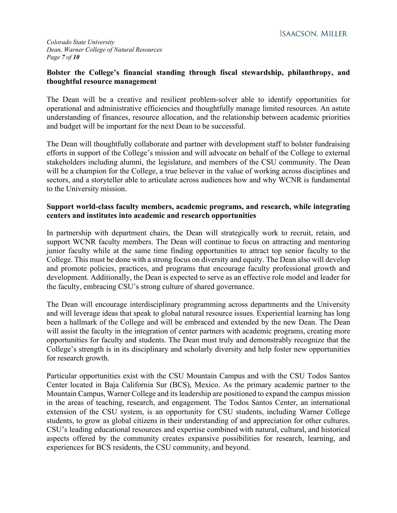*Colorado State University Dean, Warner College of Natural Resources Page 7 of 10*

#### **Bolster the College's financial standing through fiscal stewardship, philanthropy, and thoughtful resource management**

The Dean will be a creative and resilient problem-solver able to identify opportunities for operational and administrative efficiencies and thoughtfully manage limited resources. An astute understanding of finances, resource allocation, and the relationship between academic priorities and budget will be important for the next Dean to be successful.

The Dean will thoughtfully collaborate and partner with development staff to bolster fundraising efforts in support of the College's mission and will advocate on behalf of the College to external stakeholders including alumni, the legislature, and members of the CSU community. The Dean will be a champion for the College, a true believer in the value of working across disciplines and sectors, and a storyteller able to articulate across audiences how and why WCNR is fundamental to the University mission.

#### **Support world-class faculty members, academic programs, and research, while integrating centers and institutes into academic and research opportunities**

In partnership with department chairs, the Dean will strategically work to recruit, retain, and support WCNR faculty members. The Dean will continue to focus on attracting and mentoring junior faculty while at the same time finding opportunities to attract top senior faculty to the College. This must be done with a strong focus on diversity and equity. The Dean also will develop and promote policies, practices, and programs that encourage faculty professional growth and development. Additionally, the Dean is expected to serve as an effective role model and leader for the faculty, embracing CSU's strong culture of shared governance.

The Dean will encourage interdisciplinary programming across departments and the University and will leverage ideas that speak to global natural resource issues. Experiential learning has long been a hallmark of the College and will be embraced and extended by the new Dean. The Dean will assist the faculty in the integration of center partners with academic programs, creating more opportunities for faculty and students. The Dean must truly and demonstrably recognize that the College's strength is in its disciplinary and scholarly diversity and help foster new opportunities for research growth.

Particular opportunities exist with the CSU Mountain Campus and with the CSU Todos Santos Center located in Baja California Sur (BCS), Mexico. As the primary academic partner to the Mountain Campus, Warner College and its leadership are positioned to expand the campus mission in the areas of teaching, research, and engagement. The Todos Santos Center, an international extension of the CSU system, is an opportunity for CSU students, including Warner College students, to grow as global citizens in their understanding of and appreciation for other cultures. CSU's leading educational resources and expertise combined with natural, cultural, and historical aspects offered by the community creates expansive possibilities for research, learning, and experiences for BCS residents, the CSU community, and beyond.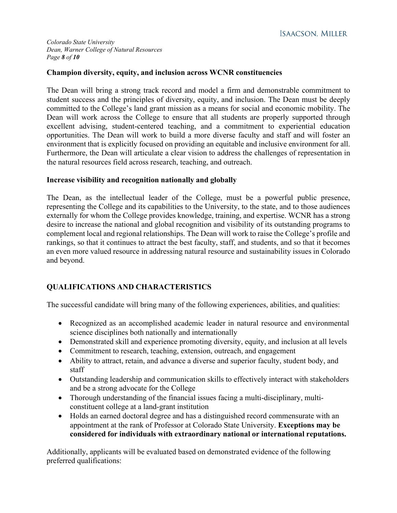*Colorado State University Dean, Warner College of Natural Resources Page 8 of 10*

#### **Champion diversity, equity, and inclusion across WCNR constituencies**

The Dean will bring a strong track record and model a firm and demonstrable commitment to student success and the principles of diversity, equity, and inclusion. The Dean must be deeply committed to the College's land grant mission as a means for social and economic mobility. The Dean will work across the College to ensure that all students are properly supported through excellent advising, student-centered teaching, and a commitment to experiential education opportunities. The Dean will work to build a more diverse faculty and staff and will foster an environment that is explicitly focused on providing an equitable and inclusive environment for all. Furthermore, the Dean will articulate a clear vision to address the challenges of representation in the natural resources field across research, teaching, and outreach.

#### **Increase visibility and recognition nationally and globally**

The Dean, as the intellectual leader of the College, must be a powerful public presence, representing the College and its capabilities to the University, to the state, and to those audiences externally for whom the College provides knowledge, training, and expertise. WCNR has a strong desire to increase the national and global recognition and visibility of its outstanding programs to complement local and regional relationships. The Dean will work to raise the College's profile and rankings, so that it continues to attract the best faculty, staff, and students, and so that it becomes an even more valued resource in addressing natural resource and sustainability issues in Colorado and beyond.

# **QUALIFICATIONS AND CHARACTERISTICS**

The successful candidate will bring many of the following experiences, abilities, and qualities:

- Recognized as an accomplished academic leader in natural resource and environmental science disciplines both nationally and internationally
- Demonstrated skill and experience promoting diversity, equity, and inclusion at all levels
- Commitment to research, teaching, extension, outreach, and engagement
- Ability to attract, retain, and advance a diverse and superior faculty, student body, and staff
- Outstanding leadership and communication skills to effectively interact with stakeholders and be a strong advocate for the College
- Thorough understanding of the financial issues facing a multi-disciplinary, multiconstituent college at a land-grant institution
- Holds an earned doctoral degree and has a distinguished record commensurate with an appointment at the rank of Professor at Colorado State University. **Exceptions may be considered for individuals with extraordinary national or international reputations.**

Additionally, applicants will be evaluated based on demonstrated evidence of the following preferred qualifications: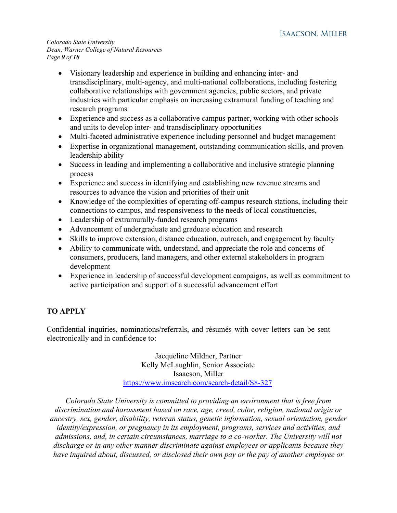*Colorado State University Dean, Warner College of Natural Resources Page 9 of 10*

- Visionary leadership and experience in building and enhancing inter- and transdisciplinary, multi-agency, and multi-national collaborations, including fostering collaborative relationships with government agencies, public sectors, and private industries with particular emphasis on increasing extramural funding of teaching and research programs
- Experience and success as a collaborative campus partner, working with other schools and units to develop inter- and transdisciplinary opportunities
- Multi-faceted administrative experience including personnel and budget management
- Expertise in organizational management, outstanding communication skills, and proven leadership ability
- Success in leading and implementing a collaborative and inclusive strategic planning process
- Experience and success in identifying and establishing new revenue streams and resources to advance the vision and priorities of their unit
- Knowledge of the complexities of operating off-campus research stations, including their connections to campus, and responsiveness to the needs of local constituencies,
- Leadership of extramurally-funded research programs
- Advancement of undergraduate and graduate education and research
- Skills to improve extension, distance education, outreach, and engagement by faculty
- Ability to communicate with, understand, and appreciate the role and concerns of consumers, producers, land managers, and other external stakeholders in program development
- Experience in leadership of successful development campaigns, as well as commitment to active participation and support of a successful advancement effort

# **TO APPLY**

Confidential inquiries, nominations/referrals, and résumés with cover letters can be sent electronically and in confidence to:

> Jacqueline Mildner, Partner Kelly McLaughlin, Senior Associate Isaacson, Miller <https://www.imsearch.com/search-detail/S8-327>

*Colorado State University is committed to providing an environment that is free from discrimination and harassment based on race, age, creed, color, religion, national origin or ancestry, sex, gender, disability, veteran status, genetic information, sexual orientation, gender identity/expression, or pregnancy in its employment, programs, services and activities, and admissions, and, in certain circumstances, marriage to a co-worker. The University will not discharge or in any other manner discriminate against employees or applicants because they have inquired about, discussed, or disclosed their own pay or the pay of another employee or*